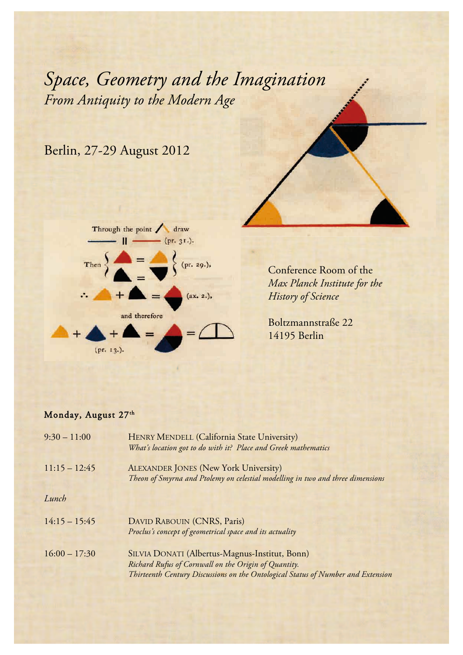*From Antiquity to the Modern Age Space, Geometry and the Imagination*

## Berlin, 27-29 August 2012



Conference Room of the *Max Planck Institute for the History of Science*

Boltzmannstraße 22 14195 Berlin

## Monday, August 27th

| $9:30 - 11:00$  | HENRY MENDELL (California State University)<br>What's location got to do with it? Place and Greek mathematics                                                                              |
|-----------------|--------------------------------------------------------------------------------------------------------------------------------------------------------------------------------------------|
| $11:15 - 12:45$ | <b>ALEXANDER JONES (New York University)</b><br>Theon of Smyrna and Ptolemy on celestial modelling in two and three dimensions                                                             |
| Lunch           |                                                                                                                                                                                            |
| $14:15 - 15:45$ | DAVID RABOUIN (CNRS, Paris)<br>Proclus's concept of geometrical space and its actuality                                                                                                    |
| $16:00 - 17:30$ | SILVIA DONATI (Albertus-Magnus-Institut, Bonn)<br>Richard Rufus of Cornwall on the Origin of Quantity.<br>Thirteenth Century Discussions on the Ontological Status of Number and Extension |